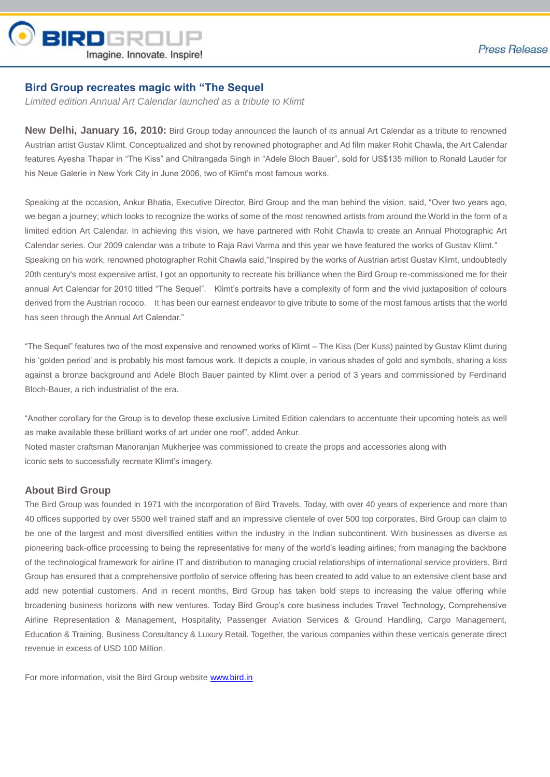

## **Bird Group recreates magic with "The Sequel**

*Limited edition Annual Art Calendar launched as a tribute to Klimt*

**New Delhi, January 16, 2010:** Bird Group today announced the launch of its annual Art Calendar as a tribute to renowned Austrian artist Gustav Klimt. Conceptualized and shot by renowned photographer and Ad film maker Rohit Chawla, the Art Calendar features Ayesha Thapar in "The Kiss" and Chitrangada Singh in "Adele Bloch Bauer", sold for US\$135 million to Ronald Lauder for his Neue Galerie in New York City in June 2006, two of Klimt's most famous works.

Speaking at the occasion, Ankur Bhatia, Executive Director, Bird Group and the man behind the vision, said, "Over two years ago, we began a journey; which looks to recognize the works of some of the most renowned artists from around the World in the form of a limited edition Art Calendar. In achieving this vision, we have partnered with Rohit Chawla to create an Annual Photographic Art Calendar series. Our 2009 calendar was a tribute to Raja Ravi Varma and this year we have featured the works of Gustav Klimt." Speaking on his work, renowned photographer Rohit Chawla said,"Inspired by the works of Austrian artist Gustav Klimt, undoubtedly 20th century's most expensive artist, I got an opportunity to recreate his brilliance when the Bird Group re-commissioned me for their annual Art Calendar for 2010 titled "The Sequel". Klimt's portraits have a complexity of form and the vivid juxtaposition of colours derived from the Austrian rococo. It has been our earnest endeavor to give tribute to some of the most famous artists that the world has seen through the Annual Art Calendar."

"The Sequel" features two of the most expensive and renowned works of Klimt – The Kiss (Der Kuss) painted by Gustav Klimt during his 'golden period' and is probably his most famous work. It depicts a couple, in various shades of gold and symbols, sharing a kiss against a bronze background and Adele Bloch Bauer painted by Klimt over a period of 3 years and commissioned by Ferdinand Bloch-Bauer, a rich industrialist of the era.

"Another corollary for the Group is to develop these exclusive Limited Edition calendars to accentuate their upcoming hotels as well as make available these brilliant works of art under one roof", added Ankur. Noted master craftsman Manoranjan Mukherjee was commissioned to create the props and accessories along with iconic sets to successfully recreate Klimt's imagery.

## **About Bird Group**

The Bird Group was founded in 1971 with the incorporation of Bird Travels. Today, with over 40 years of experience and more than 40 offices supported by over 5500 well trained staff and an impressive clientele of over 500 top corporates, Bird Group can claim to be one of the largest and most diversified entities within the industry in the Indian subcontinent. With businesses as diverse as pioneering back-office processing to being the representative for many of the world's leading airlines; from managing the backbone of the technological framework for airline IT and distribution to managing crucial relationships of international service providers, Bird Group has ensured that a comprehensive portfolio of service offering has been created to add value to an extensive client base and add new potential customers. And in recent months, Bird Group has taken bold steps to increasing the value offering while broadening business horizons with new ventures. Today Bird Group's core business includes Travel Technology, Comprehensive Airline Representation & Management, Hospitality, Passenger Aviation Services & Ground Handling, Cargo Management, Education & Training, Business Consultancy & Luxury Retail. Together, the various companies within these verticals generate direct revenue in excess of USD 100 Million.

For more information, visit the Bird Group website [www.bird.in](http://www.bird.in/)